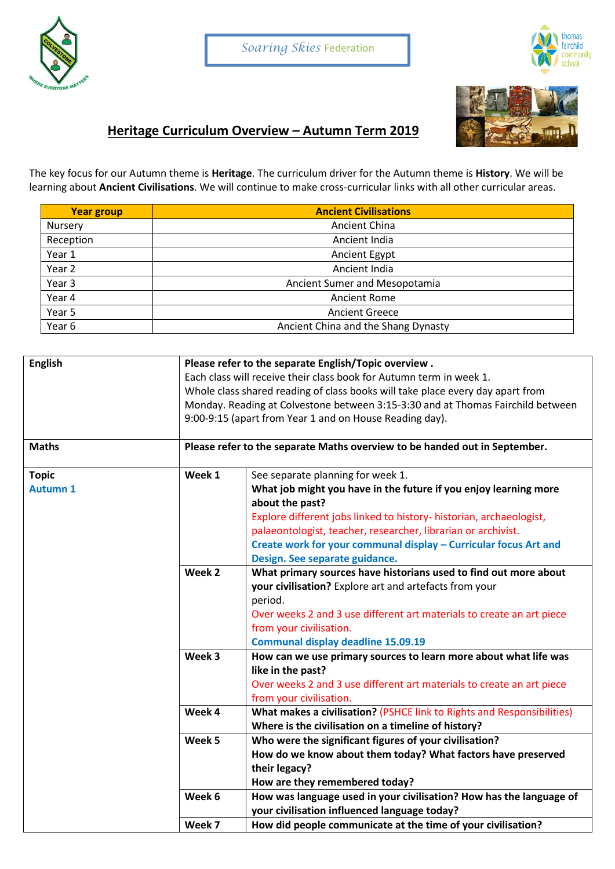



## **Heritage Curriculum Overview – Autumn Term 2019**

The key focus for our Autumn theme is **Heritage**. The curriculum driver for the Autumn theme is **History**. We will be learning about **Ancient Civilisations**. We will continue to make cross-curricular links with all other curricular areas.

| <b>Year group</b> | <b>Ancient Civilisations</b>        |
|-------------------|-------------------------------------|
| Nursery           | <b>Ancient China</b>                |
| Reception         | Ancient India                       |
| Year 1            | Ancient Egypt                       |
| Year 2            | Ancient India                       |
| Year 3            | Ancient Sumer and Mesopotamia       |
| Year 4            | <b>Ancient Rome</b>                 |
| Year 5            | <b>Ancient Greece</b>               |
| Year 6            | Ancient China and the Shang Dynasty |

| English<br><b>Maths</b>         | Please refer to the separate English/Topic overview.<br>Each class will receive their class book for Autumn term in week 1.<br>Whole class shared reading of class books will take place every day apart from<br>Monday. Reading at Colvestone between 3:15-3:30 and at Thomas Fairchild between<br>9:00-9:15 (apart from Year 1 and on House Reading day).<br>Please refer to the separate Maths overview to be handed out in September. |                                                                                                                                                                                                                                                                                                                                                                        |  |
|---------------------------------|-------------------------------------------------------------------------------------------------------------------------------------------------------------------------------------------------------------------------------------------------------------------------------------------------------------------------------------------------------------------------------------------------------------------------------------------|------------------------------------------------------------------------------------------------------------------------------------------------------------------------------------------------------------------------------------------------------------------------------------------------------------------------------------------------------------------------|--|
|                                 |                                                                                                                                                                                                                                                                                                                                                                                                                                           |                                                                                                                                                                                                                                                                                                                                                                        |  |
| <b>Topic</b><br><b>Autumn 1</b> | Week 1                                                                                                                                                                                                                                                                                                                                                                                                                                    | See separate planning for week 1.<br>What job might you have in the future if you enjoy learning more<br>about the past?<br>Explore different jobs linked to history- historian, archaeologist,<br>palaeontologist, teacher, researcher, librarian or archivist.<br>Create work for your communal display - Curricular focus Art and<br>Design. See separate guidance. |  |
|                                 | Week 2                                                                                                                                                                                                                                                                                                                                                                                                                                    | What primary sources have historians used to find out more about<br>your civilisation? Explore art and artefacts from your<br>period.<br>Over weeks 2 and 3 use different art materials to create an art piece<br>from your civilisation.<br><b>Communal display deadline 15.09.19</b>                                                                                 |  |
|                                 | Week 3                                                                                                                                                                                                                                                                                                                                                                                                                                    | How can we use primary sources to learn more about what life was<br>like in the past?<br>Over weeks 2 and 3 use different art materials to create an art piece<br>from your civilisation.                                                                                                                                                                              |  |
|                                 | Week 4                                                                                                                                                                                                                                                                                                                                                                                                                                    | What makes a civilisation? (PSHCE link to Rights and Responsibilities)<br>Where is the civilisation on a timeline of history?                                                                                                                                                                                                                                          |  |
|                                 | Week 5                                                                                                                                                                                                                                                                                                                                                                                                                                    | Who were the significant figures of your civilisation?<br>How do we know about them today? What factors have preserved<br>their legacy?<br>How are they remembered today?                                                                                                                                                                                              |  |
|                                 | Week 6                                                                                                                                                                                                                                                                                                                                                                                                                                    | How was language used in your civilisation? How has the language of<br>your civilisation influenced language today?                                                                                                                                                                                                                                                    |  |
|                                 | Week 7                                                                                                                                                                                                                                                                                                                                                                                                                                    | How did people communicate at the time of your civilisation?                                                                                                                                                                                                                                                                                                           |  |